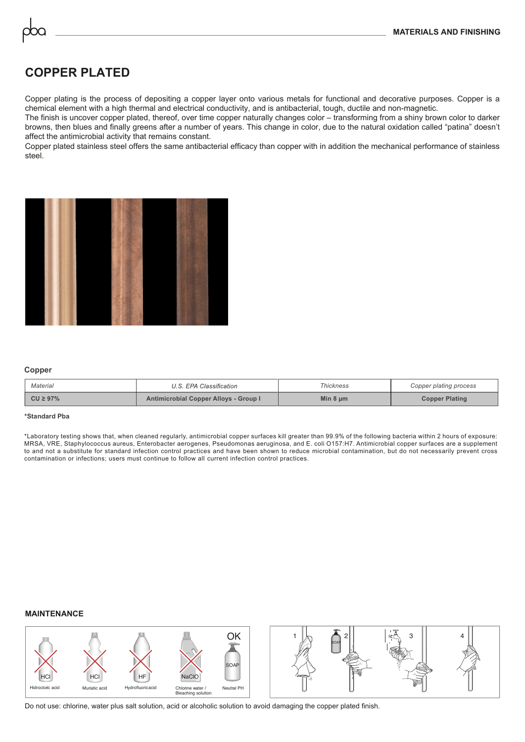# **COPPER PLATED**

Copper plating is the process of depositing a copper layer onto various metals for functional and decorative purposes. Copper is a chemical element with a high thermal and electrical conductivity, and is antibacterial, tough, ductile and non-magnetic.

The finish is uncover copper plated, thereof, over time copper naturally changes color – transforming from a shiny brown color to darker browns, then blues and finally greens after a number of years. This change in color, due to the natural oxidation called "patina" doesn't affect the antimicrobial activity that remains constant.

Copper plated stainless steel offers the same antibacterial efficacy than copper with in addition the mechanical performance of stainless steel.



### **Copper**

| Material      | U.S. EPA Classification               | <b>Thickness</b> | Copper plating process |  |
|---------------|---------------------------------------|------------------|------------------------|--|
| $CU \ge 97\%$ | Antimicrobial Copper Alloys - Group I | Min $8 \mu m$    | <b>Copper Plating</b>  |  |

#### **\*Standard Pba**

\*Laboratory testing shows that, when cleaned regularly, antimicrobial copper surfaces kill greater than 99.9% of the following bacteria within 2 hours of exposure: MRSA, VRE, Staphylococcus aureus, Enterobacter aerogenes, Pseudomonas aeruginosa, and E. coli O157:H7. Antimicrobial copper surfaces are a supplement to and not a substitute for standard infection control practices and have been shown to reduce microbial contamination, but do not necessarily prevent cross contamination or infections; users must continue to follow all current infection control practices.

## **MAINTENANCE**



Do not use: chlorine, water plus salt solution, acid or alcoholic solution to avoid damaging the copper plated finish.